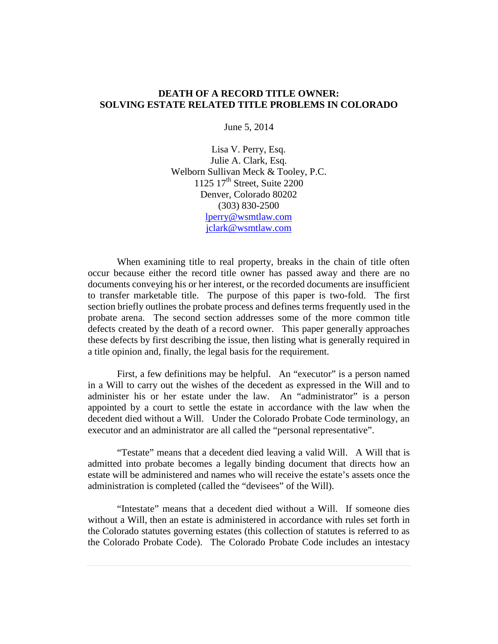#### **DEATH OF A RECORD TITLE OWNER: SOLVING ESTATE RELATED TITLE PROBLEMS IN COLORADO**

June 5, 2014

Lisa V. Perry, Esq. Julie A. Clark, Esq. Welborn Sullivan Meck & Tooley, P.C. 1125 17<sup>th</sup> Street, Suite 2200 Denver, Colorado 80202 (303) 830-2500 [lperry@wsmtlaw.com](mailto:lperry@wsmtlaw.com) [jclark@wsmtlaw.com](mailto:jclark@wsmtlaw.com)

When examining title to real property, breaks in the chain of title often occur because either the record title owner has passed away and there are no documents conveying his or her interest, or the recorded documents are insufficient to transfer marketable title. The purpose of this paper is two-fold. The first section briefly outlines the probate process and defines terms frequently used in the probate arena. The second section addresses some of the more common title defects created by the death of a record owner. This paper generally approaches these defects by first describing the issue, then listing what is generally required in a title opinion and, finally, the legal basis for the requirement.

First, a few definitions may be helpful. An "executor" is a person named in a Will to carry out the wishes of the decedent as expressed in the Will and to administer his or her estate under the law. An "administrator" is a person appointed by a court to settle the estate in accordance with the law when the decedent died without a Will. Under the Colorado Probate Code terminology, an executor and an administrator are all called the "personal representative".

"Testate" means that a decedent died leaving a valid Will. A Will that is admitted into probate becomes a legally binding document that directs how an estate will be administered and names who will receive the estate's assets once the administration is completed (called the "devisees" of the Will).

"Intestate" means that a decedent died without a Will. If someone dies without a Will, then an estate is administered in accordance with rules set forth in the Colorado statutes governing estates (this collection of statutes is referred to as the Colorado Probate Code). The Colorado Probate Code includes an intestacy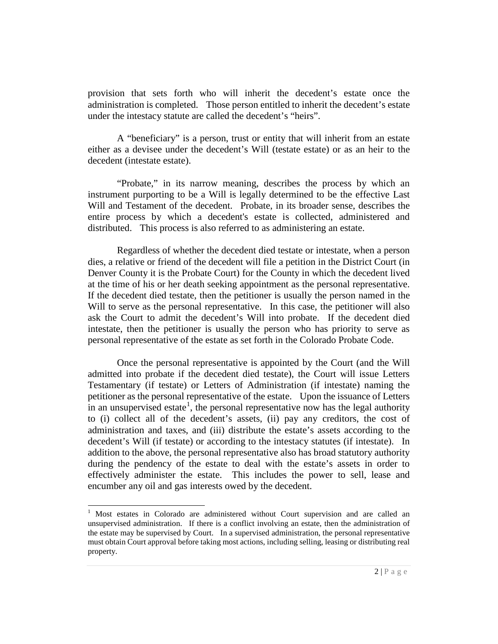provision that sets forth who will inherit the decedent's estate once the administration is completed. Those person entitled to inherit the decedent's estate under the intestacy statute are called the decedent's "heirs".

A "beneficiary" is a person, trust or entity that will inherit from an estate either as a devisee under the decedent's Will (testate estate) or as an heir to the decedent (intestate estate).

"Probate," in its narrow meaning, describes the process by which an instrument purporting to be a Will is legally determined to be the effective Last Will and Testament of the decedent. Probate, in its broader sense, describes the entire process by which a decedent's estate is collected, administered and distributed. This process is also referred to as administering an estate.

Regardless of whether the decedent died testate or intestate, when a person dies, a relative or friend of the decedent will file a petition in the District Court (in Denver County it is the Probate Court) for the County in which the decedent lived at the time of his or her death seeking appointment as the personal representative. If the decedent died testate, then the petitioner is usually the person named in the Will to serve as the personal representative. In this case, the petitioner will also ask the Court to admit the decedent's Will into probate. If the decedent died intestate, then the petitioner is usually the person who has priority to serve as personal representative of the estate as set forth in the Colorado Probate Code.

Once the personal representative is appointed by the Court (and the Will admitted into probate if the decedent died testate), the Court will issue Letters Testamentary (if testate) or Letters of Administration (if intestate) naming the petitioner as the personal representative of the estate. Upon the issuance of Letters in an unsupervised estate<sup>[1](#page-1-0)</sup>, the personal representative now has the legal authority to (i) collect all of the decedent's assets, (ii) pay any creditors, the cost of administration and taxes, and (iii) distribute the estate's assets according to the decedent's Will (if testate) or according to the intestacy statutes (if intestate). In addition to the above, the personal representative also has broad statutory authority during the pendency of the estate to deal with the estate's assets in order to effectively administer the estate. This includes the power to sell, lease and encumber any oil and gas interests owed by the decedent.

<span id="page-1-0"></span><sup>&</sup>lt;sup>1</sup> Most estates in Colorado are administered without Court supervision and are called an unsupervised administration. If there is a conflict involving an estate, then the administration of the estate may be supervised by Court. In a supervised administration, the personal representative must obtain Court approval before taking most actions, including selling, leasing or distributing real property.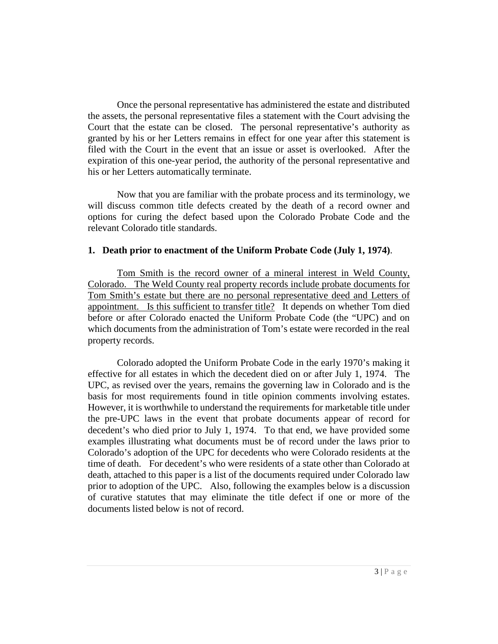Once the personal representative has administered the estate and distributed the assets, the personal representative files a statement with the Court advising the Court that the estate can be closed. The personal representative's authority as granted by his or her Letters remains in effect for one year after this statement is filed with the Court in the event that an issue or asset is overlooked. After the expiration of this one-year period, the authority of the personal representative and his or her Letters automatically terminate.

Now that you are familiar with the probate process and its terminology, we will discuss common title defects created by the death of a record owner and options for curing the defect based upon the Colorado Probate Code and the relevant Colorado title standards.

#### **1. Death prior to enactment of the Uniform Probate Code (July 1, 1974)**.

Tom Smith is the record owner of a mineral interest in Weld County, Colorado. The Weld County real property records include probate documents for Tom Smith's estate but there are no personal representative deed and Letters of appointment. Is this sufficient to transfer title? It depends on whether Tom died before or after Colorado enacted the Uniform Probate Code (the "UPC) and on which documents from the administration of Tom's estate were recorded in the real property records.

Colorado adopted the Uniform Probate Code in the early 1970's making it effective for all estates in which the decedent died on or after July 1, 1974. The UPC, as revised over the years, remains the governing law in Colorado and is the basis for most requirements found in title opinion comments involving estates. However, it is worthwhile to understand the requirements for marketable title under the pre-UPC laws in the event that probate documents appear of record for decedent's who died prior to July 1, 1974. To that end, we have provided some examples illustrating what documents must be of record under the laws prior to Colorado's adoption of the UPC for decedents who were Colorado residents at the time of death. For decedent's who were residents of a state other than Colorado at death, attached to this paper is a list of the documents required under Colorado law prior to adoption of the UPC. Also, following the examples below is a discussion of curative statutes that may eliminate the title defect if one or more of the documents listed below is not of record.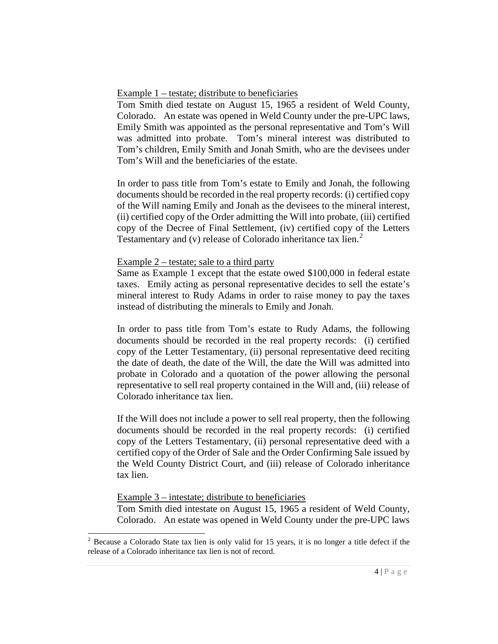# Example 1 – testate; distribute to beneficiaries

Tom Smith died testate on August 15, 1965 a resident of Weld County, Colorado. An estate was opened in Weld County under the pre-UPC laws, Emily Smith was appointed as the personal representative and Tom's Will was admitted into probate. Tom's mineral interest was distributed to Tom's children, Emily Smith and Jonah Smith, who are the devisees under Tom's Will and the beneficiaries of the estate.

In order to pass title from Tom's estate to Emily and Jonah, the following documents should be recorded in the real property records: (i) certified copy of the Will naming Emily and Jonah as the devisees to the mineral interest, (ii) certified copy of the Order admitting the Will into probate, (iii) certified copy of the Decree of Final Settlement, (iv) certified copy of the Letters Testamentary and (v) release of Colorado inheritance tax lien.<sup>[2](#page-3-0)</sup>

# Example 2 – testate; sale to a third party

Same as Example 1 except that the estate owed \$100,000 in federal estate taxes. Emily acting as personal representative decides to sell the estate's mineral interest to Rudy Adams in order to raise money to pay the taxes instead of distributing the minerals to Emily and Jonah.

In order to pass title from Tom's estate to Rudy Adams, the following documents should be recorded in the real property records: (i) certified copy of the Letter Testamentary, (ii) personal representative deed reciting the date of death, the date of the Will, the date the Will was admitted into probate in Colorado and a quotation of the power allowing the personal representative to sell real property contained in the Will and, (iii) release of Colorado inheritance tax lien.

If the Will does not include a power to sell real property, then the following documents should be recorded in the real property records: (i) certified copy of the Letters Testamentary, (ii) personal representative deed with a certified copy of the Order of Sale and the Order Confirming Sale issued by the Weld County District Court, and (iii) release of Colorado inheritance tax lien.

# Example 3 – intestate; distribute to beneficiaries

Tom Smith died intestate on August 15, 1965 a resident of Weld County, Colorado. An estate was opened in Weld County under the pre-UPC laws

<span id="page-3-0"></span><sup>&</sup>lt;sup>2</sup> Because a Colorado State tax lien is only valid for 15 years, it is no longer a title defect if the release of a Colorado inheritance tax lien is not of record.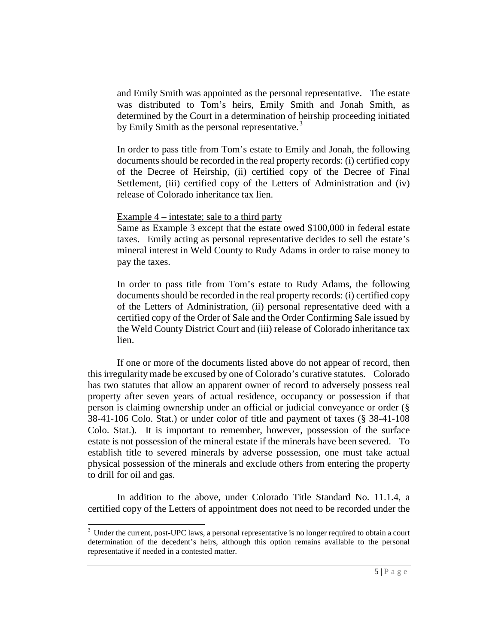and Emily Smith was appointed as the personal representative. The estate was distributed to Tom's heirs, Emily Smith and Jonah Smith, as determined by the Court in a determination of heirship proceeding initiated by Emily Smith as the personal representative.<sup>[3](#page-4-0)</sup>

In order to pass title from Tom's estate to Emily and Jonah, the following documents should be recorded in the real property records: (i) certified copy of the Decree of Heirship, (ii) certified copy of the Decree of Final Settlement, (iii) certified copy of the Letters of Administration and (iv) release of Colorado inheritance tax lien.

Example 4 – intestate; sale to a third party

Same as Example 3 except that the estate owed \$100,000 in federal estate taxes. Emily acting as personal representative decides to sell the estate's mineral interest in Weld County to Rudy Adams in order to raise money to pay the taxes.

In order to pass title from Tom's estate to Rudy Adams, the following documents should be recorded in the real property records: (i) certified copy of the Letters of Administration, (ii) personal representative deed with a certified copy of the Order of Sale and the Order Confirming Sale issued by the Weld County District Court and (iii) release of Colorado inheritance tax lien.

If one or more of the documents listed above do not appear of record, then this irregularity made be excused by one of Colorado's curative statutes. Colorado has two statutes that allow an apparent owner of record to adversely possess real property after seven years of actual residence, occupancy or possession if that person is claiming ownership under an official or judicial conveyance or order (§ 38-41-106 Colo. Stat.) or under color of title and payment of taxes (§ 38-41-108 Colo. Stat.). It is important to remember, however, possession of the surface estate is not possession of the mineral estate if the minerals have been severed. To establish title to severed minerals by adverse possession, one must take actual physical possession of the minerals and exclude others from entering the property to drill for oil and gas.

In addition to the above, under Colorado Title Standard No. 11.1.4, a certified copy of the Letters of appointment does not need to be recorded under the

<span id="page-4-0"></span><sup>&</sup>lt;sup>3</sup> Under the current, post-UPC laws, a personal representative is no longer required to obtain a court determination of the decedent's heirs, although this option remains available to the personal representative if needed in a contested matter.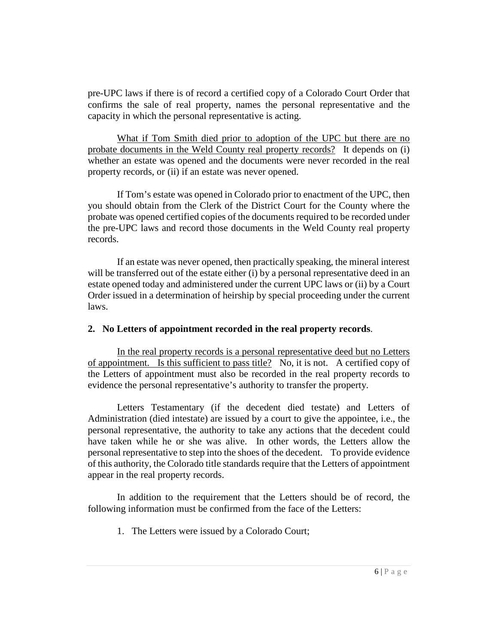pre-UPC laws if there is of record a certified copy of a Colorado Court Order that confirms the sale of real property, names the personal representative and the capacity in which the personal representative is acting.

What if Tom Smith died prior to adoption of the UPC but there are no probate documents in the Weld County real property records? It depends on (i) whether an estate was opened and the documents were never recorded in the real property records, or (ii) if an estate was never opened.

If Tom's estate was opened in Colorado prior to enactment of the UPC, then you should obtain from the Clerk of the District Court for the County where the probate was opened certified copies of the documents required to be recorded under the pre-UPC laws and record those documents in the Weld County real property records.

If an estate was never opened, then practically speaking, the mineral interest will be transferred out of the estate either (i) by a personal representative deed in an estate opened today and administered under the current UPC laws or (ii) by a Court Order issued in a determination of heirship by special proceeding under the current laws.

#### **2. No Letters of appointment recorded in the real property records**.

In the real property records is a personal representative deed but no Letters of appointment. Is this sufficient to pass title? No, it is not. A certified copy of the Letters of appointment must also be recorded in the real property records to evidence the personal representative's authority to transfer the property.

Letters Testamentary (if the decedent died testate) and Letters of Administration (died intestate) are issued by a court to give the appointee, i.e., the personal representative, the authority to take any actions that the decedent could have taken while he or she was alive. In other words, the Letters allow the personal representative to step into the shoes of the decedent. To provide evidence of this authority, the Colorado title standards require that the Letters of appointment appear in the real property records.

In addition to the requirement that the Letters should be of record, the following information must be confirmed from the face of the Letters:

1. The Letters were issued by a Colorado Court;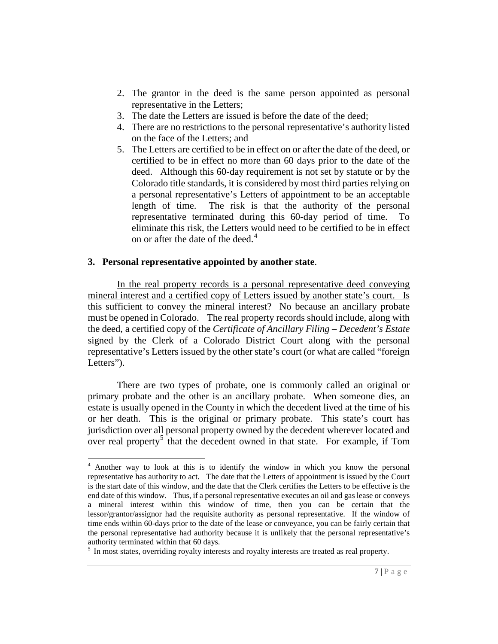- 2. The grantor in the deed is the same person appointed as personal representative in the Letters;
- 3. The date the Letters are issued is before the date of the deed;
- 4. There are no restrictions to the personal representative's authority listed on the face of the Letters; and
- 5. The Letters are certified to be in effect on or after the date of the deed, or certified to be in effect no more than 60 days prior to the date of the deed. Although this 60-day requirement is not set by statute or by the Colorado title standards, it is considered by most third parties relying on a personal representative's Letters of appointment to be an acceptable length of time. The risk is that the authority of the personal representative terminated during this 60-day period of time. To eliminate this risk, the Letters would need to be certified to be in effect on or after the date of the deed.<sup>[4](#page-6-0)</sup>

#### **3. Personal representative appointed by another state**.

In the real property records is a personal representative deed conveying mineral interest and a certified copy of Letters issued by another state's court. Is this sufficient to convey the mineral interest? No because an ancillary probate must be opened in Colorado. The real property records should include, along with the deed, a certified copy of the *Certificate of Ancillary Filing – Decedent's Estate* signed by the Clerk of a Colorado District Court along with the personal representative's Letters issued by the other state's court (or what are called "foreign Letters").

There are two types of probate, one is commonly called an original or primary probate and the other is an ancillary probate. When someone dies, an estate is usually opened in the County in which the decedent lived at the time of his or her death. This is the original or primary probate. This state's court has jurisdiction over all personal property owned by the decedent wherever located and over real property<sup>[5](#page-6-1)</sup> that the decedent owned in that state. For example, if Tom

<span id="page-6-0"></span> <sup>4</sup> Another way to look at this is to identify the window in which you know the personal representative has authority to act. The date that the Letters of appointment is issued by the Court is the start date of this window, and the date that the Clerk certifies the Letters to be effective is the end date of this window. Thus, if a personal representative executes an oil and gas lease or conveys a mineral interest within this window of time, then you can be certain that the lessor/grantor/assignor had the requisite authority as personal representative. If the window of time ends within 60-days prior to the date of the lease or conveyance, you can be fairly certain that the personal representative had authority because it is unlikely that the personal representative's

<span id="page-6-1"></span> $\frac{1}{2}$  In most states, overriding royalty interests and royalty interests are treated as real property.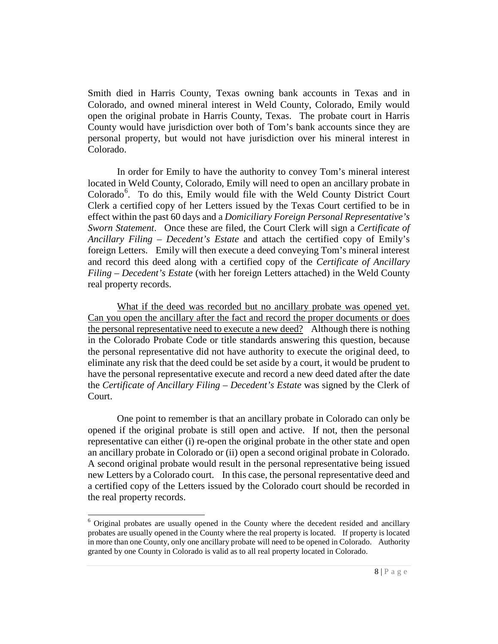Smith died in Harris County, Texas owning bank accounts in Texas and in Colorado, and owned mineral interest in Weld County, Colorado, Emily would open the original probate in Harris County, Texas. The probate court in Harris County would have jurisdiction over both of Tom's bank accounts since they are personal property, but would not have jurisdiction over his mineral interest in Colorado.

In order for Emily to have the authority to convey Tom's mineral interest located in Weld County, Colorado, Emily will need to open an ancillary probate in Colorado<sup>[6](#page-7-0)</sup>. To do this, Emily would file with the Weld County District Court Clerk a certified copy of her Letters issued by the Texas Court certified to be in effect within the past 60 days and a *Domiciliary Foreign Personal Representative's Sworn Statement*. Once these are filed, the Court Clerk will sign a *Certificate of Ancillary Filing – Decedent's Estate* and attach the certified copy of Emily's foreign Letters. Emily will then execute a deed conveying Tom's mineral interest and record this deed along with a certified copy of the *Certificate of Ancillary Filing – Decedent's Estate* (with her foreign Letters attached) in the Weld County real property records.

What if the deed was recorded but no ancillary probate was opened yet. Can you open the ancillary after the fact and record the proper documents or does the personal representative need to execute a new deed? Although there is nothing in the Colorado Probate Code or title standards answering this question, because the personal representative did not have authority to execute the original deed, to eliminate any risk that the deed could be set aside by a court, it would be prudent to have the personal representative execute and record a new deed dated after the date the *Certificate of Ancillary Filing – Decedent's Estate* was signed by the Clerk of Court.

One point to remember is that an ancillary probate in Colorado can only be opened if the original probate is still open and active. If not, then the personal representative can either (i) re-open the original probate in the other state and open an ancillary probate in Colorado or (ii) open a second original probate in Colorado. A second original probate would result in the personal representative being issued new Letters by a Colorado court. In this case, the personal representative deed and a certified copy of the Letters issued by the Colorado court should be recorded in the real property records.

<span id="page-7-0"></span> <sup>6</sup> Original probates are usually opened in the County where the decedent resided and ancillary probates are usually opened in the County where the real property is located. If property is located in more than one County, only one ancillary probate will need to be opened in Colorado. Authority granted by one County in Colorado is valid as to all real property located in Colorado.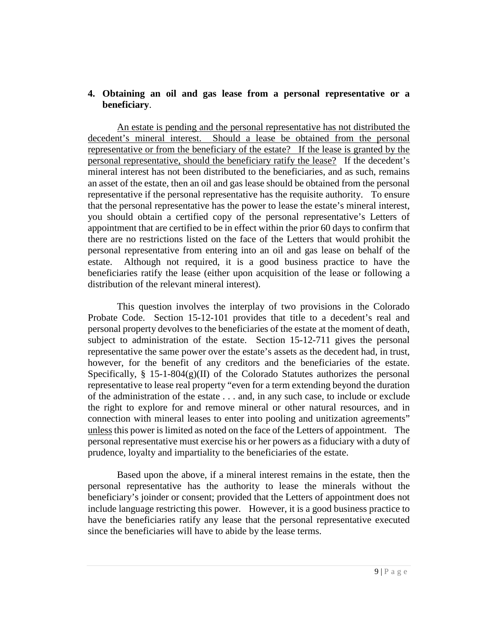#### **4. Obtaining an oil and gas lease from a personal representative or a beneficiary**.

An estate is pending and the personal representative has not distributed the decedent's mineral interest. Should a lease be obtained from the personal representative or from the beneficiary of the estate? If the lease is granted by the personal representative, should the beneficiary ratify the lease? If the decedent's mineral interest has not been distributed to the beneficiaries, and as such, remains an asset of the estate, then an oil and gas lease should be obtained from the personal representative if the personal representative has the requisite authority. To ensure that the personal representative has the power to lease the estate's mineral interest, you should obtain a certified copy of the personal representative's Letters of appointment that are certified to be in effect within the prior 60 days to confirm that there are no restrictions listed on the face of the Letters that would prohibit the personal representative from entering into an oil and gas lease on behalf of the estate. Although not required, it is a good business practice to have the beneficiaries ratify the lease (either upon acquisition of the lease or following a distribution of the relevant mineral interest).

This question involves the interplay of two provisions in the Colorado Probate Code. Section 15-12-101 provides that title to a decedent's real and personal property devolves to the beneficiaries of the estate at the moment of death, subject to administration of the estate. Section 15-12-711 gives the personal representative the same power over the estate's assets as the decedent had, in trust, however, for the benefit of any creditors and the beneficiaries of the estate. Specifically,  $\S$  15-1-804(g)(II) of the Colorado Statutes authorizes the personal representative to lease real property "even for a term extending beyond the duration of the administration of the estate . . . and, in any such case, to include or exclude the right to explore for and remove mineral or other natural resources, and in connection with mineral leases to enter into pooling and unitization agreements" unless this power is limited as noted on the face of the Letters of appointment. The personal representative must exercise his or her powers as a fiduciary with a duty of prudence, loyalty and impartiality to the beneficiaries of the estate.

Based upon the above, if a mineral interest remains in the estate, then the personal representative has the authority to lease the minerals without the beneficiary's joinder or consent; provided that the Letters of appointment does not include language restricting this power. However, it is a good business practice to have the beneficiaries ratify any lease that the personal representative executed since the beneficiaries will have to abide by the lease terms.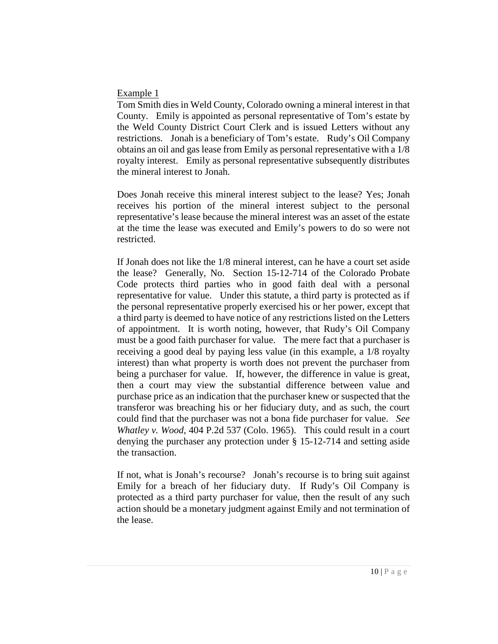#### Example 1

Tom Smith dies in Weld County, Colorado owning a mineral interest in that County. Emily is appointed as personal representative of Tom's estate by the Weld County District Court Clerk and is issued Letters without any restrictions. Jonah is a beneficiary of Tom's estate. Rudy's Oil Company obtains an oil and gas lease from Emily as personal representative with a 1/8 royalty interest. Emily as personal representative subsequently distributes the mineral interest to Jonah.

Does Jonah receive this mineral interest subject to the lease? Yes; Jonah receives his portion of the mineral interest subject to the personal representative's lease because the mineral interest was an asset of the estate at the time the lease was executed and Emily's powers to do so were not restricted.

If Jonah does not like the 1/8 mineral interest, can he have a court set aside the lease? Generally, No. Section 15-12-714 of the Colorado Probate Code protects third parties who in good faith deal with a personal representative for value. Under this statute, a third party is protected as if the personal representative properly exercised his or her power, except that a third party is deemed to have notice of any restrictions listed on the Letters of appointment. It is worth noting, however, that Rudy's Oil Company must be a good faith purchaser for value. The mere fact that a purchaser is receiving a good deal by paying less value (in this example, a 1/8 royalty interest) than what property is worth does not prevent the purchaser from being a purchaser for value. If, however, the difference in value is great, then a court may view the substantial difference between value and purchase price as an indication that the purchaser knew or suspected that the transferor was breaching his or her fiduciary duty, and as such, the court could find that the purchaser was not a bona fide purchaser for value. *See Whatley v. Wood,* 404 P.2d 537 (Colo. 1965). This could result in a court denying the purchaser any protection under § 15-12-714 and setting aside the transaction.

If not, what is Jonah's recourse? Jonah's recourse is to bring suit against Emily for a breach of her fiduciary duty. If Rudy's Oil Company is protected as a third party purchaser for value, then the result of any such action should be a monetary judgment against Emily and not termination of the lease.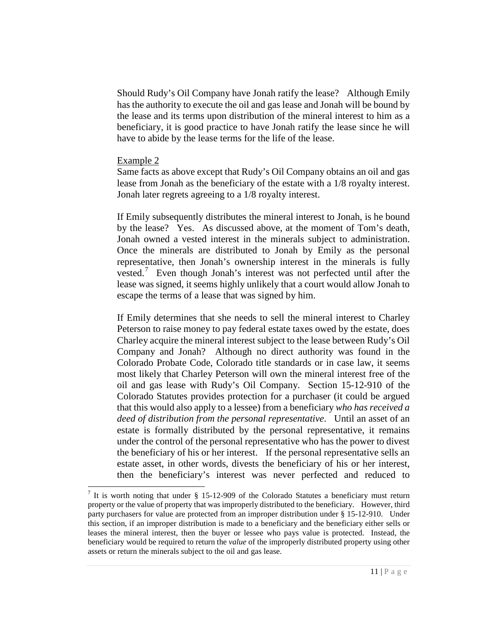Should Rudy's Oil Company have Jonah ratify the lease? Although Emily has the authority to execute the oil and gas lease and Jonah will be bound by the lease and its terms upon distribution of the mineral interest to him as a beneficiary, it is good practice to have Jonah ratify the lease since he will have to abide by the lease terms for the life of the lease.

#### Example 2

Same facts as above except that Rudy's Oil Company obtains an oil and gas lease from Jonah as the beneficiary of the estate with a 1/8 royalty interest. Jonah later regrets agreeing to a 1/8 royalty interest.

If Emily subsequently distributes the mineral interest to Jonah, is he bound by the lease? Yes. As discussed above, at the moment of Tom's death, Jonah owned a vested interest in the minerals subject to administration. Once the minerals are distributed to Jonah by Emily as the personal representative, then Jonah's ownership interest in the minerals is fully vested.<sup>[7](#page-10-0)</sup> Even though Jonah's interest was not perfected until after the lease was signed, it seems highly unlikely that a court would allow Jonah to escape the terms of a lease that was signed by him.

If Emily determines that she needs to sell the mineral interest to Charley Peterson to raise money to pay federal estate taxes owed by the estate, does Charley acquire the mineral interest subject to the lease between Rudy's Oil Company and Jonah? Although no direct authority was found in the Colorado Probate Code, Colorado title standards or in case law, it seems most likely that Charley Peterson will own the mineral interest free of the oil and gas lease with Rudy's Oil Company. Section 15-12-910 of the Colorado Statutes provides protection for a purchaser (it could be argued that this would also apply to a lessee) from a beneficiary *who has received a deed of distribution from the personal representative*. Until an asset of an estate is formally distributed by the personal representative, it remains under the control of the personal representative who has the power to divest the beneficiary of his or her interest. If the personal representative sells an estate asset, in other words, divests the beneficiary of his or her interest, then the beneficiary's interest was never perfected and reduced to

<span id="page-10-0"></span><sup>&</sup>lt;sup>7</sup> It is worth noting that under  $\S$  15-12-909 of the Colorado Statutes a beneficiary must return property or the value of property that was improperly distributed to the beneficiary. However, third party purchasers for value are protected from an improper distribution under § 15-12-910. Under this section, if an improper distribution is made to a beneficiary and the beneficiary either sells or leases the mineral interest, then the buyer or lessee who pays value is protected. Instead, the beneficiary would be required to return the *value* of the improperly distributed property using other assets or return the minerals subject to the oil and gas lease.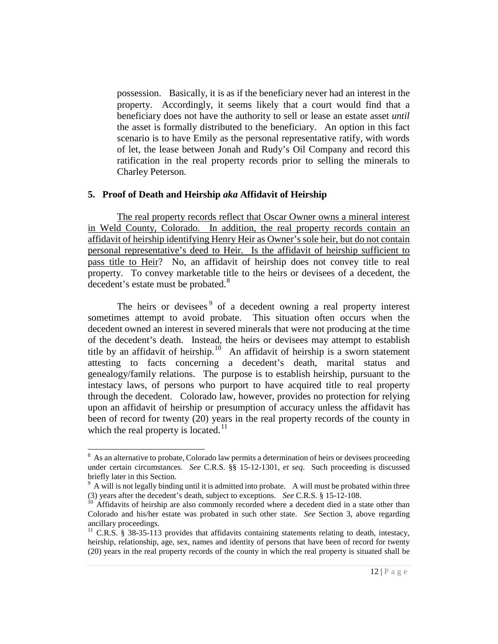possession. Basically, it is as if the beneficiary never had an interest in the property. Accordingly, it seems likely that a court would find that a beneficiary does not have the authority to sell or lease an estate asset *until* the asset is formally distributed to the beneficiary. An option in this fact scenario is to have Emily as the personal representative ratify, with words of let, the lease between Jonah and Rudy's Oil Company and record this ratification in the real property records prior to selling the minerals to Charley Peterson.

#### **5. Proof of Death and Heirship** *aka* **Affidavit of Heirship**

The real property records reflect that Oscar Owner owns a mineral interest in Weld County, Colorado. In addition, the real property records contain an affidavit of heirship identifying Henry Heir as Owner's sole heir, but do not contain personal representative's deed to Heir. Is the affidavit of heirship sufficient to pass title to Heir? No, an affidavit of heirship does not convey title to real property. To convey marketable title to the heirs or devisees of a decedent, the  $\frac{1}{8}$  $\frac{1}{8}$  $\frac{1}{8}$  decedent's estate must be probated.<sup>8</sup>

The heirs or devisees<sup>[9](#page-11-1)</sup> of a decedent owning a real property interest sometimes attempt to avoid probate. This situation often occurs when the decedent owned an interest in severed minerals that were not producing at the time of the decedent's death. Instead, the heirs or devisees may attempt to establish title by an affidavit of heirship.<sup>[10](#page-11-2)</sup> An affidavit of heirship is a sworn statement attesting to facts concerning a decedent's death, marital status and genealogy/family relations. The purpose is to establish heirship, pursuant to the intestacy laws, of persons who purport to have acquired title to real property through the decedent. Colorado law, however, provides no protection for relying upon an affidavit of heirship or presumption of accuracy unless the affidavit has been of record for twenty (20) years in the real property records of the county in which the real property is located.<sup>11</sup>

<span id="page-11-0"></span><sup>&</sup>lt;sup>8</sup> As an alternative to probate, Colorado law permits a determination of heirs or devisees proceeding under certain circumstances. *See* C.R.S. §§ 15-12-1301, *et seq*. Such proceeding is discussed briefly later in this Section.

<span id="page-11-1"></span> $9$  A will is not legally binding until it is admitted into probate. A will must be probated within three (3) years after the decedent's death, subject to exceptions. *See* C.R.S. § 15-12-108.<br><sup>10</sup> Affidavits of heirship are also commonly recorded where a decedent died in a state other than

<span id="page-11-2"></span>Colorado and his/her estate was probated in such other state. *See* Section 3, above regarding ancillary proceedings.

<span id="page-11-3"></span><sup>&</sup>lt;sup>11</sup> C.R.S. § 38-35-113 provides that affidavits containing statements relating to death, intestacy, heirship, relationship, age, sex, names and identity of persons that have been of record for twenty (20) years in the real property records of the county in which the real property is situated shall be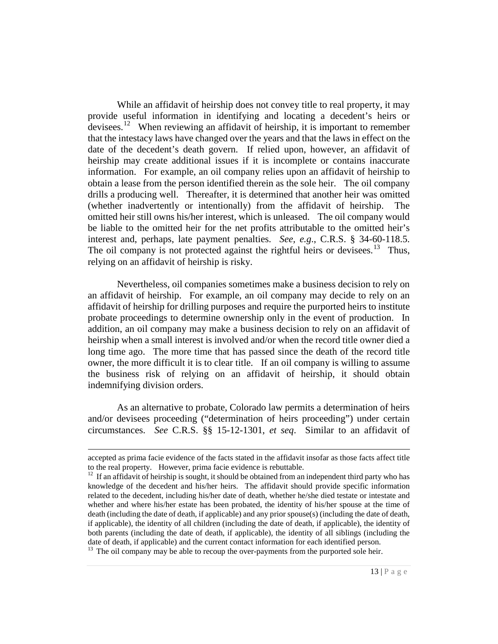While an affidavit of heirship does not convey title to real property, it may provide useful information in identifying and locating a decedent's heirs or devisees.<sup>[12](#page-12-0)</sup> When reviewing an affidavit of heirship, it is important to remember that the intestacy laws have changed over the years and that the laws in effect on the date of the decedent's death govern. If relied upon, however, an affidavit of heirship may create additional issues if it is incomplete or contains inaccurate information. For example, an oil company relies upon an affidavit of heirship to obtain a lease from the person identified therein as the sole heir. The oil company drills a producing well. Thereafter, it is determined that another heir was omitted (whether inadvertently or intentionally) from the affidavit of heirship. The omitted heir still owns his/her interest, which is unleased. The oil company would be liable to the omitted heir for the net profits attributable to the omitted heir's interest and, perhaps, late payment penalties. *See, e.g*., C.R.S. § 34-60-118.5. The oil company is not protected against the rightful heirs or devisees.<sup>13</sup> Thus, relying on an affidavit of heirship is risky.

Nevertheless, oil companies sometimes make a business decision to rely on an affidavit of heirship. For example, an oil company may decide to rely on an affidavit of heirship for drilling purposes and require the purported heirs to institute probate proceedings to determine ownership only in the event of production. In addition, an oil company may make a business decision to rely on an affidavit of heirship when a small interest is involved and/or when the record title owner died a long time ago. The more time that has passed since the death of the record title owner, the more difficult it is to clear title. If an oil company is willing to assume the business risk of relying on an affidavit of heirship, it should obtain indemnifying division orders.

As an alternative to probate, Colorado law permits a determination of heirs and/or devisees proceeding ("determination of heirs proceeding") under certain circumstances. *See* C.R.S. §§ 15-12-1301, *et seq*. Similar to an affidavit of

 $\overline{a}$ 

accepted as prima facie evidence of the facts stated in the affidavit insofar as those facts affect title to the real property. However, prima facie evidence is rebuttable.

<span id="page-12-0"></span> $12$  If an affidavit of heirship is sought, it should be obtained from an independent third party who has knowledge of the decedent and his/her heirs. The affidavit should provide specific information related to the decedent, including his/her date of death, whether he/she died testate or intestate and whether and where his/her estate has been probated, the identity of his/her spouse at the time of death (including the date of death, if applicable) and any prior spouse(s) (including the date of death, if applicable), the identity of all children (including the date of death, if applicable), the identity of both parents (including the date of death, if applicable), the identity of all siblings (including the date of death, if applicable) and the current contact information for each identified person.

<span id="page-12-1"></span> $\frac{13}{13}$  The oil company may be able to recoup the over-payments from the purported sole heir.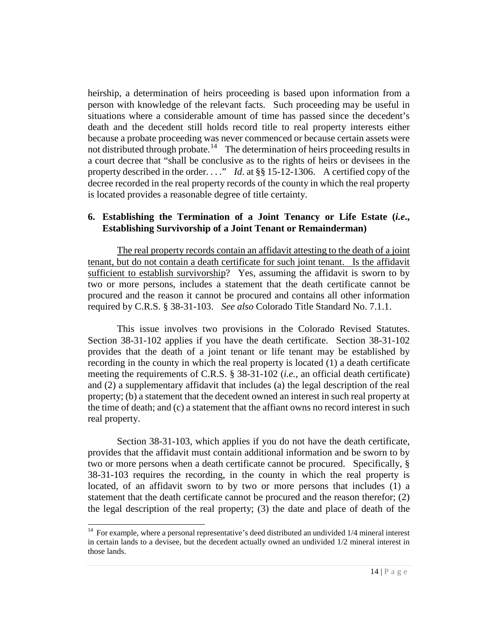heirship, a determination of heirs proceeding is based upon information from a person with knowledge of the relevant facts. Such proceeding may be useful in situations where a considerable amount of time has passed since the decedent's death and the decedent still holds record title to real property interests either because a probate proceeding was never commenced or because certain assets were not distributed through probate.<sup>[14](#page-13-0)</sup> The determination of heirs proceeding results in a court decree that "shall be conclusive as to the rights of heirs or devisees in the property described in the order. . . ." *Id*. at §§ 15-12-1306. A certified copy of the decree recorded in the real property records of the county in which the real property is located provides a reasonable degree of title certainty.

#### **6. Establishing the Termination of a Joint Tenancy or Life Estate (***i.e***., Establishing Survivorship of a Joint Tenant or Remainderman)**

The real property records contain an affidavit attesting to the death of a joint tenant, but do not contain a death certificate for such joint tenant. Is the affidavit sufficient to establish survivorship? Yes, assuming the affidavit is sworn to by two or more persons, includes a statement that the death certificate cannot be procured and the reason it cannot be procured and contains all other information required by C.R.S. § 38-31-103. *See also* Colorado Title Standard No. 7.1.1.

This issue involves two provisions in the Colorado Revised Statutes. Section 38-31-102 applies if you have the death certificate. Section 38-31-102 provides that the death of a joint tenant or life tenant may be established by recording in the county in which the real property is located (1) a death certificate meeting the requirements of C.R.S. § 38-31-102 (*i.e.,* an official death certificate) and (2) a supplementary affidavit that includes (a) the legal description of the real property; (b) a statement that the decedent owned an interest in such real property at the time of death; and (c) a statement that the affiant owns no record interest in such real property.

Section 38-31-103, which applies if you do not have the death certificate, provides that the affidavit must contain additional information and be sworn to by two or more persons when a death certificate cannot be procured. Specifically, § 38-31-103 requires the recording, in the county in which the real property is located, of an affidavit sworn to by two or more persons that includes (1) a statement that the death certificate cannot be procured and the reason therefor; (2) the legal description of the real property; (3) the date and place of death of the

<span id="page-13-0"></span><sup>&</sup>lt;sup>14</sup> For example, where a personal representative's deed distributed an undivided 1/4 mineral interest in certain lands to a devisee, but the decedent actually owned an undivided 1/2 mineral interest in those lands.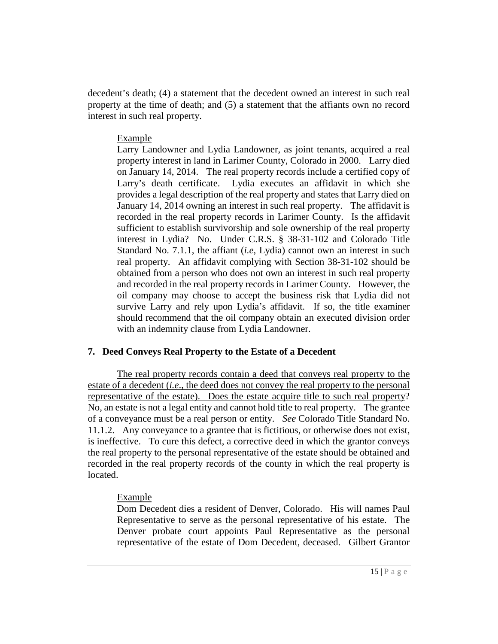decedent's death; (4) a statement that the decedent owned an interest in such real property at the time of death; and (5) a statement that the affiants own no record interest in such real property.

### Example

Larry Landowner and Lydia Landowner, as joint tenants, acquired a real property interest in land in Larimer County, Colorado in 2000. Larry died on January 14, 2014. The real property records include a certified copy of Larry's death certificate. Lydia executes an affidavit in which she provides a legal description of the real property and states that Larry died on January 14, 2014 owning an interest in such real property. The affidavit is recorded in the real property records in Larimer County. Is the affidavit sufficient to establish survivorship and sole ownership of the real property interest in Lydia? No. Under C.R.S. § 38-31-102 and Colorado Title Standard No. 7.1.1, the affiant (*i.e*, Lydia) cannot own an interest in such real property. An affidavit complying with Section 38-31-102 should be obtained from a person who does not own an interest in such real property and recorded in the real property records in Larimer County. However, the oil company may choose to accept the business risk that Lydia did not survive Larry and rely upon Lydia's affidavit. If so, the title examiner should recommend that the oil company obtain an executed division order with an indemnity clause from Lydia Landowner.

# **7. Deed Conveys Real Property to the Estate of a Decedent**

The real property records contain a deed that conveys real property to the estate of a decedent (*i.e*., the deed does not convey the real property to the personal representative of the estate). Does the estate acquire title to such real property? No, an estate is not a legal entity and cannot hold title to real property. The grantee of a conveyance must be a real person or entity. *See* Colorado Title Standard No. 11.1.2. Any conveyance to a grantee that is fictitious, or otherwise does not exist, is ineffective. To cure this defect, a corrective deed in which the grantor conveys the real property to the personal representative of the estate should be obtained and recorded in the real property records of the county in which the real property is located.

# Example

Dom Decedent dies a resident of Denver, Colorado. His will names Paul Representative to serve as the personal representative of his estate. The Denver probate court appoints Paul Representative as the personal representative of the estate of Dom Decedent, deceased. Gilbert Grantor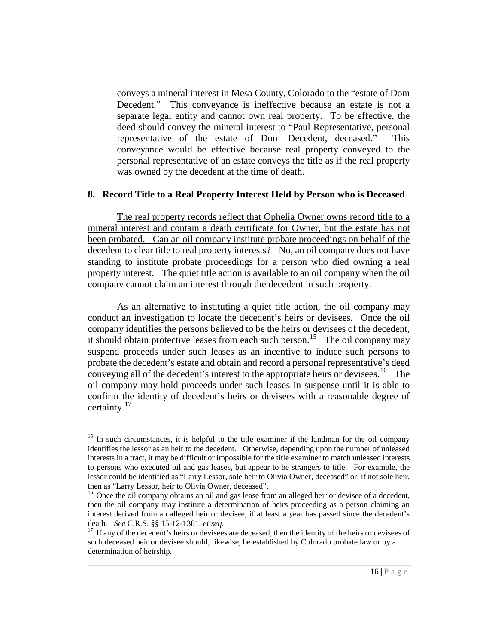conveys a mineral interest in Mesa County, Colorado to the "estate of Dom Decedent." This conveyance is ineffective because an estate is not a separate legal entity and cannot own real property. To be effective, the deed should convey the mineral interest to "Paul Representative, personal representative of the estate of Dom Decedent, deceased." This conveyance would be effective because real property conveyed to the personal representative of an estate conveys the title as if the real property was owned by the decedent at the time of death.

#### **8. Record Title to a Real Property Interest Held by Person who is Deceased**

The real property records reflect that Ophelia Owner owns record title to a mineral interest and contain a death certificate for Owner, but the estate has not been probated. Can an oil company institute probate proceedings on behalf of the decedent to clear title to real property interests? No, an oil company does not have standing to institute probate proceedings for a person who died owning a real property interest. The quiet title action is available to an oil company when the oil company cannot claim an interest through the decedent in such property.

As an alternative to instituting a quiet title action, the oil company may conduct an investigation to locate the decedent's heirs or devisees. Once the oil company identifies the persons believed to be the heirs or devisees of the decedent, it should obtain protective leases from each such person.<sup>[15](#page-15-0)</sup> The oil company may suspend proceeds under such leases as an incentive to induce such persons to probate the decedent's estate and obtain and record a personal representative's deed conveying all of the decedent's interest to the appropriate heirs or devisees.<sup>16</sup> The oil company may hold proceeds under such leases in suspense until it is able to confirm the identity of decedent's heirs or devisees with a reasonable degree of certainty.<sup>17</sup>

<span id="page-15-0"></span><sup>&</sup>lt;sup>15</sup> In such circumstances, it is helpful to the title examiner if the landman for the oil company identifies the lessor as an heir to the decedent. Otherwise, depending upon the number of unleased interests in a tract, it may be difficult or impossible for the title examiner to match unleased interests to persons who executed oil and gas leases, but appear to be strangers to title. For example, the lessor could be identified as "Larry Lessor, sole heir to Olivia Owner, deceased" or, if not sole heir, then as "Larry Lessor, heir to Olivia Owner, deceased".

<span id="page-15-1"></span> $16$  Once the oil company obtains an oil and gas lease from an alleged heir or devisee of a decedent, then the oil company may institute a determination of heirs proceeding as a person claiming an interest derived from an alleged heir or devisee, if at least a year has passed since the decedent's death. *See* C.R.S. §§ 15-12-1301, *et seq*.<br><sup>17</sup> If any of the decedent's heirs or devisees are deceased, then the identity of the heirs or devisees of

<span id="page-15-2"></span>such deceased heir or devisee should, likewise, be established by Colorado probate law or by a determination of heirship.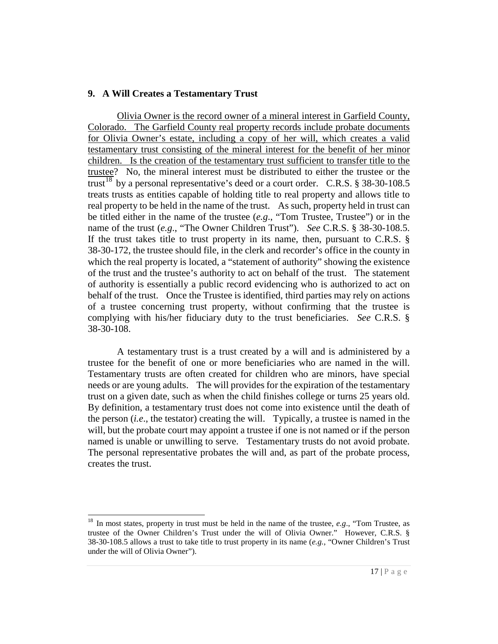### **9. A Will Creates a Testamentary Trust**

Olivia Owner is the record owner of a mineral interest in Garfield County, Colorado. The Garfield County real property records include probate documents for Olivia Owner's estate, including a copy of her will, which creates a valid testamentary trust consisting of the mineral interest for the benefit of her minor children. Is the creation of the testamentary trust sufficient to transfer title to the trustee? No, the mineral interest must be distributed to either the trustee or the trust<sup>[18](#page-16-0)</sup> by a personal representative's deed or a court order. C.R.S. § 38-30-108.5 treats trusts as entities capable of holding title to real property and allows title to real property to be held in the name of the trust. As such, property held in trust can be titled either in the name of the trustee (*e.g*., "Tom Trustee, Trustee") or in the name of the trust (*e.g*., "The Owner Children Trust"). *See* C.R.S. § 38-30-108.5. If the trust takes title to trust property in its name, then, pursuant to C.R.S. § 38-30-172, the trustee should file, in the clerk and recorder's office in the county in which the real property is located, a "statement of authority" showing the existence of the trust and the trustee's authority to act on behalf of the trust. The statement of authority is essentially a public record evidencing who is authorized to act on behalf of the trust. Once the Trustee is identified, third parties may rely on actions of a trustee concerning trust property, without confirming that the trustee is complying with his/her fiduciary duty to the trust beneficiaries. *See* C.R.S. § 38-30-108.

A testamentary trust is a trust created by a will and is administered by a trustee for the benefit of one or more beneficiaries who are named in the will. Testamentary trusts are often created for children who are minors, have special needs or are young adults. The will provides for the expiration of the testamentary trust on a given date, such as when the child finishes college or turns 25 years old. By definition, a testamentary trust does not come into existence until the death of the person (*i.e*., the testator) creating the will. Typically, a trustee is named in the will, but the probate court may appoint a trustee if one is not named or if the person named is unable or unwilling to serve. Testamentary trusts do not avoid probate. The personal representative probates the will and, as part of the probate process, creates the trust.

<span id="page-16-0"></span> <sup>18</sup> In most states, property in trust must be held in the name of the trustee, *e.g*., "Tom Trustee, as trustee of the Owner Children's Trust under the will of Olivia Owner." However, C.R.S. § 38-30-108.5 allows a trust to take title to trust property in its name (*e.g.*, "Owner Children's Trust under the will of Olivia Owner").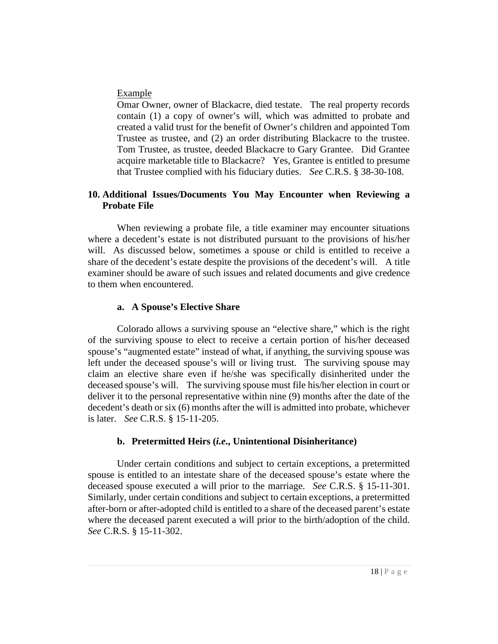#### Example

Omar Owner, owner of Blackacre, died testate. The real property records contain (1) a copy of owner's will, which was admitted to probate and created a valid trust for the benefit of Owner's children and appointed Tom Trustee as trustee, and (2) an order distributing Blackacre to the trustee. Tom Trustee, as trustee, deeded Blackacre to Gary Grantee. Did Grantee acquire marketable title to Blackacre? Yes, Grantee is entitled to presume that Trustee complied with his fiduciary duties. *See* C.R.S. § 38-30-108.

# **10. Additional Issues/Documents You May Encounter when Reviewing a Probate File**

When reviewing a probate file, a title examiner may encounter situations where a decedent's estate is not distributed pursuant to the provisions of his/her will. As discussed below, sometimes a spouse or child is entitled to receive a share of the decedent's estate despite the provisions of the decedent's will. A title examiner should be aware of such issues and related documents and give credence to them when encountered.

# **a. A Spouse's Elective Share**

Colorado allows a surviving spouse an "elective share," which is the right of the surviving spouse to elect to receive a certain portion of his/her deceased spouse's "augmented estate" instead of what, if anything, the surviving spouse was left under the deceased spouse's will or living trust. The surviving spouse may claim an elective share even if he/she was specifically disinherited under the deceased spouse's will. The surviving spouse must file his/her election in court or deliver it to the personal representative within nine (9) months after the date of the decedent's death or six (6) months after the will is admitted into probate, whichever is later. *See* C.R.S. § 15-11-205.

# **b. Pretermitted Heirs (***i.e***., Unintentional Disinheritance)**

Under certain conditions and subject to certain exceptions, a pretermitted spouse is entitled to an intestate share of the deceased spouse's estate where the deceased spouse executed a will prior to the marriage. *See* C.R.S. § 15-11-301. Similarly, under certain conditions and subject to certain exceptions, a pretermitted after-born or after-adopted child is entitled to a share of the deceased parent's estate where the deceased parent executed a will prior to the birth/adoption of the child. *See* C.R.S. § 15-11-302.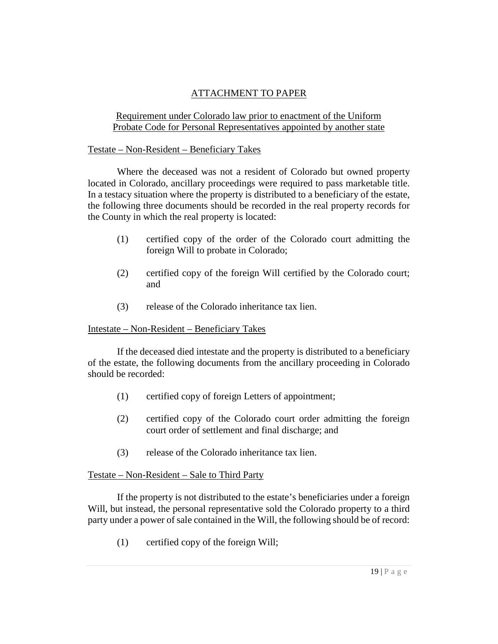# ATTACHMENT TO PAPER

# Requirement under Colorado law prior to enactment of the Uniform Probate Code for Personal Representatives appointed by another state

### Testate – Non-Resident – Beneficiary Takes

Where the deceased was not a resident of Colorado but owned property located in Colorado, ancillary proceedings were required to pass marketable title. In a testacy situation where the property is distributed to a beneficiary of the estate, the following three documents should be recorded in the real property records for the County in which the real property is located:

- (1) certified copy of the order of the Colorado court admitting the foreign Will to probate in Colorado;
- (2) certified copy of the foreign Will certified by the Colorado court; and
- (3) release of the Colorado inheritance tax lien.

#### Intestate – Non-Resident – Beneficiary Takes

If the deceased died intestate and the property is distributed to a beneficiary of the estate, the following documents from the ancillary proceeding in Colorado should be recorded:

- (1) certified copy of foreign Letters of appointment;
- (2) certified copy of the Colorado court order admitting the foreign court order of settlement and final discharge; and
- (3) release of the Colorado inheritance tax lien.

# Testate – Non-Resident – Sale to Third Party

If the property is not distributed to the estate's beneficiaries under a foreign Will, but instead, the personal representative sold the Colorado property to a third party under a power of sale contained in the Will, the following should be of record:

(1) certified copy of the foreign Will;